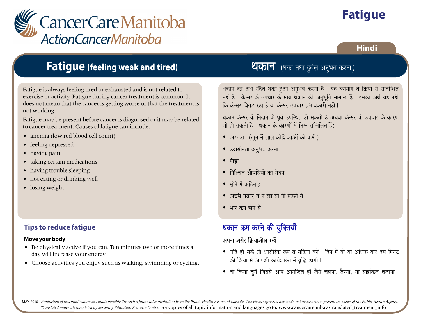

# **Fatigue**

### **Hindi**

# **Fatigue (feeling weak and tired)**

Fatigue is always feeling tired or exhausted and is not related to exercise or activity. Fatigue during cancer treatment is common. It does not mean that the cancer is getting worse or that the treatment is not working.

Fatigue may be present before cancer is diagnosed or it may be related to cancer treatment. Causes of fatigue can include:

- anemia (low red blood cell count)
- feeling depressed
- having pain
- taking certain medications
- having trouble sleeping
- not eating or drinking well
- losing weight

## **Tips to reduce fatigue**

### **Move your body**

- Be physically active if you can. Ten minutes two or more times a day will increase your energy.
- Choose activities you enjoy such as walking, swimming or cycling.

# ्रायस्य स्थानम् ।<br>स्थिति । अत्र विकासिक्का वर्षे अ **थ्यकान** (थका तथा दुर्वल अ

थकान का अर्थ सदैव थका हुआ अनुभव करना है। यह व्यायाम व क्रिया से संम्वन्धित वकान का ठाव तदव वका हुआ जतुमव करना एक वर व्यावान व काला त तवावत<br>नही है | कैन्सर के उपचार के साथ थकान की अनुभूति सामान्य है | इसका अर्थ यह नही nah olih ayakardaankan alalah hori sajakaran hori saan oleh een ko lol<br>कि कैन्सर बिगड़ रहा है या कैन्सर उपचार प्रभावकारी नही | ik konstant ibagad dan hoog aarta ho yaar paavakari na hiri na hiri na hiri na hiri na hiri na hiri na hiri na<br>I. Baayakari na hiri na hiri na hiri na hiri na hiri na hiri na hiri na hiri na hiri na hiri na hiri na hiri n

थकान कैन्सर के निदान के पूर्व उपस्थित हो सकती है अथवा कैन्सर के उपचार के कारण बकान करतर के नियान के दूब उपरबत से लगता से अबबा करतर के उपवार के कारन<br>भी हो सकती है | थकान के कारणों में निम्न सम्मिलित हैं: Bai ya sakti ya karna ko karna saimmailat homo saimmailat homo.<br>M

- $\bullet$  अरक्तता (खून में लाल कोशिकाओं की कमी)  $\mathcal{L}_{\mathcal{X}}$ ta  $\mathcal{L}_{\mathcal{X}}$  and anxience an analysis
- उदासीनता अनुभव करना y waxaana ahaan Anaan Anaan Anaan Anaan Anaan Anaan Anaan Anaan Anaan Anaan Anaan Anaan Anaan Anaan Anaan Anaa<br>A
- $\bullet$  पीडा اې $\mathsf{P}$
- निश्चित औषधियो का सेवन y inaiScat AaOYaiQayaao ka saovana
- सोने में कठिनाई  $\frac{1}{2}$ sii'i saad mad ka saabaan ka saabaan ka saabaan ka saabaan ka saabaan ka saabaan ka saabaan ka saabaan ka saabaan ka saabaan ka saabaan ka saabaan ka saabaan ka saabaan ka saabaan ka saabaan ka saabaan ka saabaan
- अच्छी प्रकार से न खा या पी सकने से  $\frac{1}{2}$ y Frans in Kanadisa papa pana ka ya kar sababu sababu sa ka ya kasa pika ka ya katika ka ya kasa ka ya kasa ka ya katika ka ya katika ka ya katika ka ya katika katika katika ka ya katika katika katika katika kati
- भार कम होने से  $\frac{1}{2}$  baar kma haar kma ha $\frac{1}{2}$

#### $\frac{1}{\sqrt{2}}$ र्णयात सामे की गवितगाँ थकान कम करने की युक्तियाँ

#### $\overline{\phantom{a}}$ अपना शरीर क्रियाशील रखें

- y yaid hao sako tao SaarIirk \$p sao saiËya banaoM. idna maoM dao yaa AiQak baar dsa imanaT kI iËyaa sao AapkI kaya-Sai@t maoM vaRiw haogaI. • यदि हो सके तो शारीरिक रूप से सक्रिय बनें। दिन में दो या अधिक बार दस मिनट की क्रिया से आपकी कार्यशक्ति में वृद्धि होगी।
- y vaao iËyaa caunaoM ijasasao Aap Aanaindt haoM jaOsao calanaaÊ tOrnaaÊ yaa saa[ikla calaanaa. • वो क्रिया चुनें जिससे आप आनन्दित हों जैसे चलना, तैरना, या साइकिल चलाना ।

MAY, 2010 Production of this publication was made possible through a financial contribution from the Public Health Agency of Canada. The views expressed herein do not necessarily represent the views of the Public Health Ag *Translated materials completed by Sexuality Education Resource Centre.* For copies of all topic information and languages go to: www.cancercare.mb.ca/translated\_treatment\_info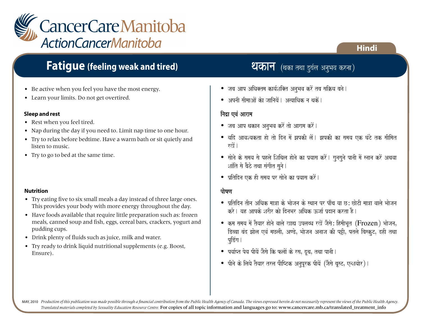

# **Fatigue (feeling weak and tired)**

- Be active when you feel you have the most energy.
- Learn your limits. Do not get overtired.

### **Sleep and rest**

- Rest when you feel tired.
- Nap during the day if you need to. Limit nap time to one hour.
- Try to relax before bedtime. Have a warm bath or sit quietly and listen to music.
- Try to go to bed at the same time.

### **Nutrition**

- Try eating five to six small meals a day instead of three large ones. This provides your body with more energy throughout the day.
- Have foods available that require little preparation such as: frozen meals, canned soup and fish, eggs, cereal bars, crackers, yogurt and pudding cups.
- Drink plenty of fluids such as juice, milk and water.
- Try ready to drink liquid nutritional supplements (e.g. Boost, Ensure).

# **थकान** (थका तथा दुर्वल अनुभव करना)

- $\bullet$  जब आप अधिक्तम कार्यशक्ति अनुभव करें तब सक्रिय बने।
- $\bullet$  अपनी सीमाओं केा जानियें | अत्याधिक न धकें |

### निद्रा एवं आराम

- $\bullet$  जब आप थकान अनुभव करें तो आराम करें |
- $\bullet$  यदि आवश्यकता हो तो दिन में झपकी लें। झपकी का समय एक घंटे तक सीमित  $\vec{v}$ ो ।
- $\bullet$  सोने के समय से पहले शिथिल होने का प्रयास करें। गुनगुने पानी में स्नान करें अथवा शांति से बैठे तथा संगीत सुने।
- $\bullet$  प्रतिदिन एक ही समय पर सोने का प्रयास करें l

### पोषण

- $\bullet$  प्रतिदिन तीन अधिक मात्रा के भोजन के स्थान पर पाँच या छ: छोटी मात्रा वाले भोजन करे। यह आपके शरीर को दिनभर अधिक ऊर्जा पदान करता है।
- $\bullet$  कम समय में तैयार होने वाले खाद्य उपलब्ध रखें जैसे: हिमीभूत (Frozen) भोजन, डिब्बा बंद झोल एवं मछली, अण्डे, भोजन अनाज की पट्टी, पतले बिस्कूट, दही तथा पडिंग ।
- $\bullet$  पर्याप्त पेय पीयें जैसे कि फलों के रस, दृथ, तथा पानी l
- पीने के लिये तैयार तरल पौष्टिक अनुपूरक पीयें (जैसे बुस्ट, एन्शयोर)।

MAY, 2010 Production of this publication was made possible through a financial contribution from the Public Health Agency of Canada. The views expressed herein do not necessarily represent the views of the Public Health Ag *Translated materials completed by Sexuality Education Resource Centre.* For copies of all topic information and languages go to: www.cancercare.mb.ca/translated\_treatment\_info

# **Hindi**